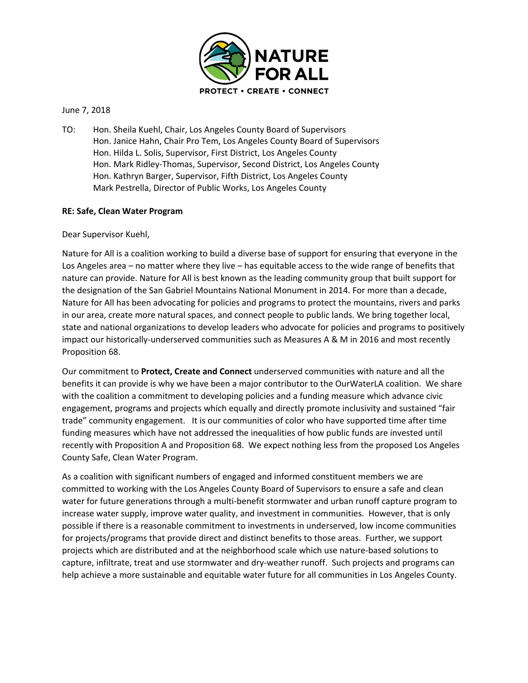

## June 7, 2018

TO: Hon. Sheila Kuehl, Chair, Los Angeles County Board of Supervisors Hon. Janice Hahn, Chair Pro Tem, Los Angeles County Board of Supervisors Hon. Hilda L. Solis, Supervisor, First District, Los Angeles County Hon. Mark Ridley-Thomas, Supervisor, Second District, Los Angeles County Hon. Kathryn Barger, Supervisor, Fifth District, Los Angeles County Mark Pestrella, Director of Public Works, Los Angeles County

## **RE: Safe, Clean Water Program**

Dear Supervisor Kuehl,

Nature for All is a coalition working to build a diverse base of support for ensuring that everyone in the Los Angeles area – no matter where they live – has equitable access to the wide range of benefits that nature can provide. Nature for All is best known as the leading community group that built support for the designation of the San Gabriel Mountains National Monument in 2014. For more than a decade, Nature for All has been advocating for policies and programs to protect the mountains, rivers and parks in our area, create more natural spaces, and connect people to public lands. We bring together local, state and national organizations to develop leaders who advocate for policies and programs to positively impact our historically-underserved communities such as Measures A & M in 2016 and most recently Proposition 68.

Our commitment to **Protect, Create and Connect** underserved communities with nature and all the benefits it can provide is why we have been a major contributor to the OurWaterLA coalition. We share with the coalition a commitment to developing policies and a funding measure which advance civic engagement, programs and projects which equally and directly promote inclusivity and sustained "fair trade" community engagement. It is our communities of color who have supported time after time funding measures which have not addressed the inequalities of how public funds are invested until recently with Proposition A and Proposition 68. We expect nothing less from the proposed Los Angeles County Safe, Clean Water Program.

As a coalition with significant numbers of engaged and informed constituent members we are committed to working with the Los Angeles County Board of Supervisors to ensure a safe and clean water for future generations through a multi-benefit stormwater and urban runoff capture program to increase water supply, improve water quality, and investment in communities. However, that is only possible if there is a reasonable commitment to investments in underserved, low income communities for projects/programs that provide direct and distinct benefits to those areas. Further, we support projects which are distributed and at the neighborhood scale which use nature-based solutions to capture, infiltrate, treat and use stormwater and dry-weather runoff. Such projects and programs can help achieve a more sustainable and equitable water future for all communities in Los Angeles County.